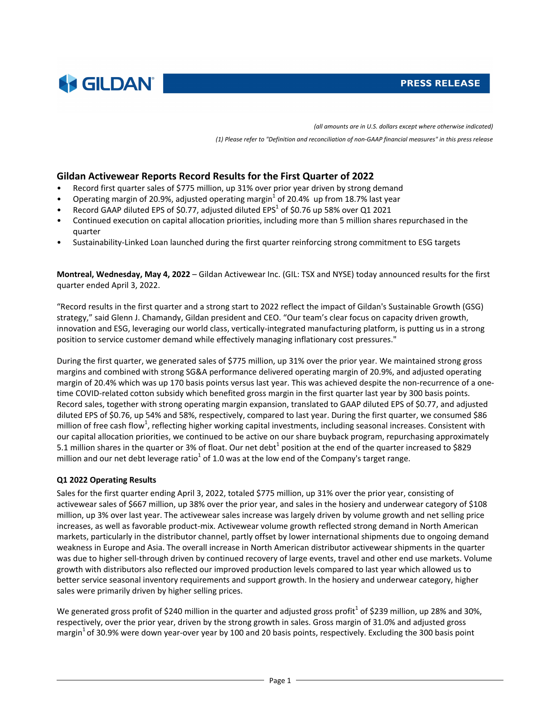

(all amounts are in U.S. dollars except where otherwise indicated) (1) Please refer to "Definition and reconciliation of non-GAAP financial measures" in this press release

# Gildan Activewear Reports Record Results for the First Quarter of 2022

- Record first quarter sales of \$775 million, up 31% over prior year driven by strong demand
- Operating margin of 20.9%, adjusted operating margin<sup>1</sup> of 20.4% up from 18.7% last year
- Record GAAP diluted EPS of \$0.77, adjusted diluted EPS<sup>1</sup> of \$0.76 up 58% over Q1 2021
- Continued execution on capital allocation priorities, including more than 5 million shares repurchased in the quarter
- Sustainability-Linked Loan launched during the first quarter reinforcing strong commitment to ESG targets

**Montreal, Wednesday, May 4, 2022** – Gildan Activewear Inc. (GIL: TSX and NYSE) today announced results for the first quarter ended April 3, 2022.

"Record results in the first quarter and a strong start to 2022 reflect the impact of Gildan's Sustainable Growth (GSG) strategy," said Glenn J. Chamandy, Gildan president and CEO. "Our team's clear focus on capacity driven growth, innovation and ESG, leveraging our world class, vertically-integrated manufacturing platform, is putting us in a strong position to service customer demand while effectively managing inflationary cost pressures."

During the first quarter, we generated sales of \$775 million, up 31% over the prior year. We maintained strong gross margins and combined with strong SG&A performance delivered operating margin of 20.9%, and adjusted operating margin of 20.4% which was up 170 basis points versus last year. This was achieved despite the non-recurrence of a onetime COVID-related cotton subsidy which benefited gross margin in the first quarter last year by 300 basis points. Record sales, together with strong operating margin expansion, translated to GAAP diluted EPS of \$0.77, and adjusted diluted EPS of \$0.76, up 54% and 58%, respectively, compared to last year. During the first quarter, we consumed \$86 million of free cash flow<sup>1</sup>, reflecting higher working capital investments, including seasonal increases. Consistent with our capital allocation priorities, we continued to be active on our share buyback program, repurchasing approximately 5.1 million shares in the quarter or 3% of float. Our net debt<sup>1</sup> position at the end of the quarter increased to \$829 million and our net debt leverage ratio<sup>1</sup> of 1.0 was at the low end of the Company's target range.

### **Q1 2022 Operating Results**

Sales for the first quarter ending April 3, 2022, totaled \$775 million, up 31% over the prior year, consisting of activewear sales of \$667 million, up 38% over the prior year, and sales in the hosiery and underwear category of \$108 million, up 3% over last year. The activewear sales increase was largely driven by volume growth and net selling price increases, as well as favorable product-mix. Activewear volume growth reflected strong demand in North American markets, particularly in the distributor channel, partly offset by lower international shipments due to ongoing demand weakness in Europe and Asia. The overall increase in North American distributor activewear shipments in the quarter was due to higher sell-through driven by continued recovery of large events, travel and other end use markets. Volume growth with distributors also reflected our improved production levels compared to last year which allowed us to better service seasonal inventory requirements and support growth. In the hosiery and underwear category, higher sales were primarily driven by higher selling prices.

We generated gross profit of \$240 million in the quarter and adjusted gross profit<sup>1</sup> of \$239 million, up 28% and 30%, respectively, over the prior year, driven by the strong growth in sales. Gross margin of 31.0% and adjusted gross margin<sup>1</sup> of 30.9% were down year-over year by 100 and 20 basis points, respectively. Excluding the 300 basis point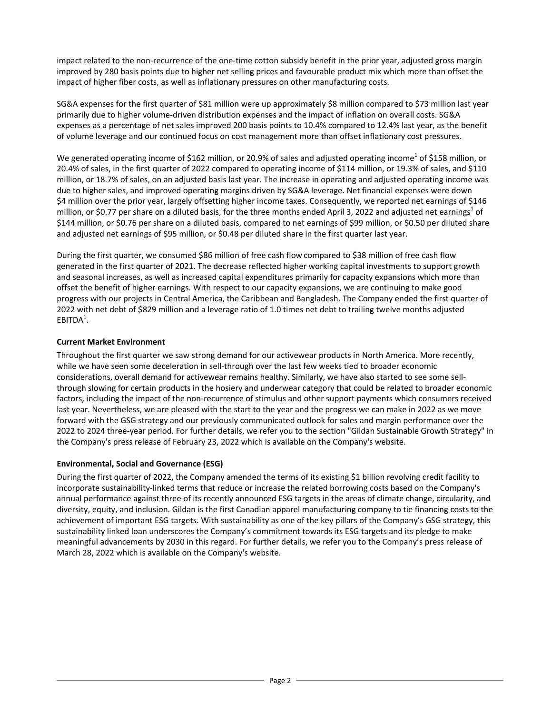impact related to the non-recurrence of the one-time cotton subsidy benefit in the prior year, adjusted gross margin improved by 280 basis points due to higher net selling prices and favourable product mix which more than offset the impact of higher fiber costs, as well as inflationary pressures on other manufacturing costs.

SG&A expenses for the first quarter of \$81 million were up approximately \$8 million compared to \$73 million last year primarily due to higher volume-driven distribution expenses and the impact of inflation on overall costs. SG&A expenses as a percentage of net sales improved 200 basis points to 10.4% compared to 12.4% last year, as the benefit of volume leverage and our continued focus on cost management more than offset inflationary cost pressures.

We generated operating income of \$162 million, or 20.9% of sales and adjusted operating income<sup>1</sup> of \$158 million, or 20.4% of sales, in the first quarter of 2022 compared to operating income of \$114 million, or 19.3% of sales, and \$110 million, or 18.7% of sales, on an adjusted basis last year. The increase in operating and adjusted operating income was due to higher sales, and improved operating margins driven by SG&A leverage. Net financial expenses were down \$4 million over the prior year, largely offsetting higher income taxes. Consequently, we reported net earnings of \$146 million, or \$0.77 per share on a diluted basis, for the three months ended April 3, 2022 and adjusted net earnings<sup>1</sup> of \$144 million, or \$0.76 per share on a diluted basis, compared to net earnings of \$99 million, or \$0.50 per diluted share and adjusted net earnings of \$95 million, or \$0.48 per diluted share in the first quarter last year.

During the first quarter, we consumed \$86 million of free cash flow compared to \$38 million of free cash flow generated in the first quarter of 2021. The decrease reflected higher working capital investments to support growth and seasonal increases, as well as increased capital expenditures primarily for capacity expansions which more than offset the benefit of higher earnings. With respect to our capacity expansions, we are continuing to make good progress with our projects in Central America, the Caribbean and Bangladesh. The Company ended the first quarter of 2022 with net debt of \$829 million and a leverage ratio of 1.0 times net debt to trailing twelve months adjusted  $EBITDA<sup>1</sup>$ .

# **Current Market Environment**

Throughout the first quarter we saw strong demand for our activewear products in North America. More recently, while we have seen some deceleration in sell-through over the last few weeks tied to broader economic considerations, overall demand for activewear remains healthy. Similarly, we have also started to see some sellthrough slowing for certain products in the hosiery and underwear category that could be related to broader economic factors, including the impact of the non-recurrence of stimulus and other support payments which consumers received last year. Nevertheless, we are pleased with the start to the year and the progress we can make in 2022 as we move forward with the GSG strategy and our previously communicated outlook for sales and margin performance over the 2022 to 2024 three-year period. For further details, we refer you to the section "Gildan Sustainable Growth Strategy" in the Company's press release of February 23, 2022 which is available on the Company's website.

# **Environmental, Social and Governance (ESG)**

During the first quarter of 2022, the Company amended the terms of its existing \$1 billion revolving credit facility to incorporate sustainability-linked terms that reduce or increase the related borrowing costs based on the Company's annual performance against three of its recently announced ESG targets in the areas of climate change, circularity, and diversity, equity, and inclusion. Gildan is the first Canadian apparel manufacturing company to tie financing costs to the achievement of important ESG targets. With sustainability as one of the key pillars of the Company's GSG strategy, this sustainability linked loan underscores the Company's commitment towards its ESG targets and its pledge to make meaningful advancements by 2030 in this regard. For further details, we refer you to the Company's press release of March 28, 2022 which is available on the Company's website.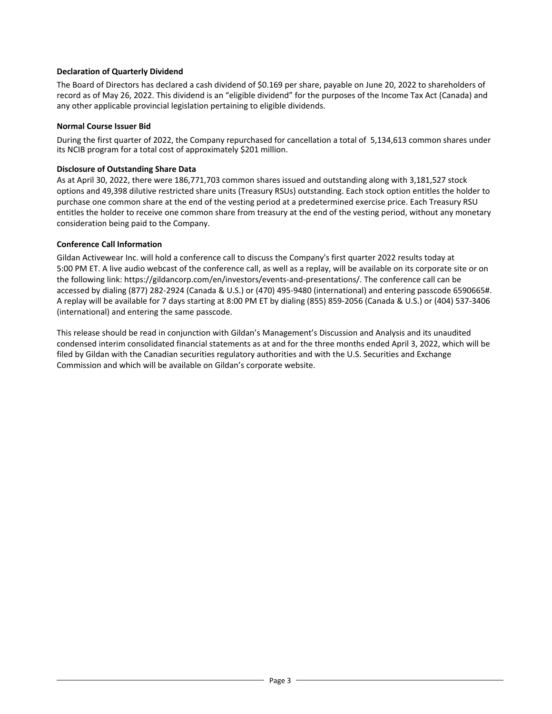# **Declaration of Quarterly Dividend**

The Board of Directors has declared a cash dividend of \$0.169 per share, payable on June 20, 2022 to shareholders of record as of May 26, 2022. This dividend is an "eligible dividend" for the purposes of the Income Tax Act (Canada) and any other applicable provincial legislation pertaining to eligible dividends.

### **Normal Course Issuer Bid**

During the first quarter of 2022, the Company repurchased for cancellation a total of 5,134,613 common shares under its NCIB program for a total cost of approximately \$201 million.

#### **Disclosure of Outstanding Share Data**

As at April 30, 2022, there were 186,771,703 common shares issued and outstanding along with 3,181,527 stock options and 49,398 dilutive restricted share units (Treasury RSUs) outstanding. Each stock option entitles the holder to purchase one common share at the end of the vesting period at a predetermined exercise price. Each Treasury RSU entitles the holder to receive one common share from treasury at the end of the vesting period, without any monetary consideration being paid to the Company.

### **Conference Call Information**

Gildan Activewear Inc. will hold a conference call to discuss the Company's first quarter 2022 results today at 5:00 PM ET. A live audio webcast of the conference call, as well as a replay, will be available on its corporate site or on the following link: https://gildancorp.com/en/investors/events-and-presentations/. The conference call can be accessed by dialing (877) 282-2924 (Canada & U.S.) or (470) 495-9480 (international) and entering passcode 6590665#. A replay will be available for 7 days starting at 8:00 PM ET by dialing (855) 859-2056 (Canada & U.S.) or (404) 537-3406 (international) and entering the same passcode.

This release should be read in conjunction with Gildan's Management's Discussion and Analysis and its unaudited condensed interim consolidated financial statements as at and for the three months ended April 3, 2022, which will be filed by Gildan with the Canadian securities regulatory authorities and with the U.S. Securities and Exchange Commission and which will be available on Gildan's corporate website.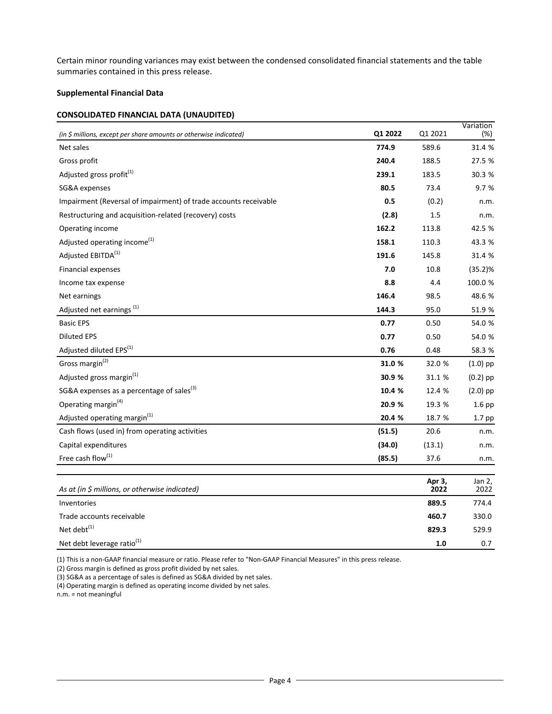Certain minor rounding variances may exist between the condensed consolidated financial statements and the table summaries contained in this press release.

#### **Supplemental Financial Data**

#### **CONSOLIDATED FINANCIAL DATA (UNAUDITED)**

| (in $\zeta$ millions, except per share amounts or otherwise indicated) | Q1 2022 | Q1 2021        | Variation<br>$(\%)$ |
|------------------------------------------------------------------------|---------|----------------|---------------------|
| Net sales                                                              | 774.9   | 589.6          | 31.4 %              |
| Gross profit                                                           | 240.4   | 188.5          | 27.5 %              |
| Adjusted gross profit <sup>(1)</sup>                                   | 239.1   | 183.5          | 30.3 %              |
| SG&A expenses                                                          | 80.5    | 73.4           | 9.7%                |
| Impairment (Reversal of impairment) of trade accounts receivable       | 0.5     | (0.2)          | n.m.                |
| Restructuring and acquisition-related (recovery) costs                 | (2.8)   | 1.5            | n.m.                |
| Operating income                                                       | 162.2   | 113.8          | 42.5 %              |
| Adjusted operating income <sup>(1)</sup>                               | 158.1   | 110.3          | 43.3 %              |
| Adjusted EBITDA <sup>(1)</sup>                                         | 191.6   | 145.8          | 31.4 %              |
| Financial expenses                                                     | 7.0     | 10.8           | (35.2)%             |
| Income tax expense                                                     | 8.8     | 4.4            | 100.0%              |
| Net earnings                                                           | 146.4   | 98.5           | 48.6 %              |
| Adjusted net earnings <sup>(1)</sup>                                   | 144.3   | 95.0           | 51.9%               |
| <b>Basic EPS</b>                                                       | 0.77    | 0.50           | 54.0%               |
| <b>Diluted EPS</b>                                                     | 0.77    | 0.50           | 54.0%               |
| Adjusted diluted EPS <sup>(1)</sup>                                    | 0.76    | 0.48           | 58.3 %              |
| Gross margin <sup>(2)</sup>                                            | 31.0 %  | 32.0 %         | $(1.0)$ pp          |
| Adjusted gross margin <sup>(1)</sup>                                   | 30.9 %  | 31.1 %         | $(0.2)$ pp          |
| SG&A expenses as a percentage of sales <sup>(3)</sup>                  | 10.4 %  | 12.4 %         | $(2.0)$ pp          |
| Operating margin <sup>(4)</sup>                                        | 20.9 %  | 19.3 %         | $1.6$ pp            |
| Adjusted operating margin <sup>(1)</sup>                               | 20.4 %  | 18.7 %         | 1.7 pp              |
| Cash flows (used in) from operating activities                         | (51.5)  | 20.6           | n.m.                |
| Capital expenditures                                                   | (34.0)  | (13.1)         | n.m.                |
| Free cash flow <sup>(1)</sup>                                          | (85.5)  | 37.6           | n.m.                |
| As at (in \$ millions, or otherwise indicated)                         |         | Apr 3,<br>2022 | Jan 2,<br>2022      |
| Inventories                                                            |         | 889.5          | 774.4               |
| Trade accounts receivable                                              |         | 460.7          | 330.0               |
| Net debt <sup>(1)</sup>                                                |         | 829.3          | 529.9               |

Net debt leverage ratio<sup>(1)</sup> and the set of the set of the set of the set of the set of the set of the set of the set of the set of the set of the set of the set of the set of the set of the set of the set of the set of th

(1) This is a non-GAAP financial measure or ratio. Please refer to "Non-GAAP Financial Measures" in this press release.

(2) Gross margin is defined as gross profit divided by net sales.

(3) SG&A as a percentage of sales is defined as SG&A divided by net sales.

(4) Operating margin is defined as operating income divided by net sales.

n.m. = not meaningful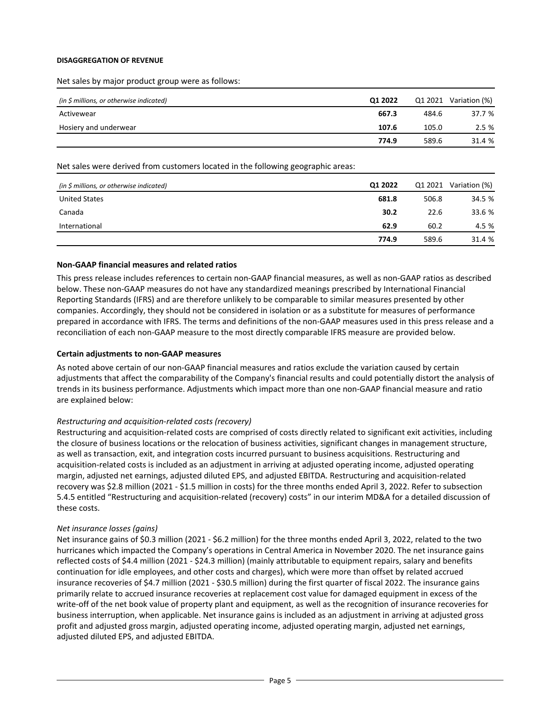#### **DISAGGREGATION OF REVENUE**

Net sales by major product group were as follows:

| (in \$ millions, or otherwise indicated) | Q1 2022 |       | $Q1 2021$ Variation $(\%)$ |
|------------------------------------------|---------|-------|----------------------------|
| Activewear                               | 667.3   | 484.6 | 37.7 %                     |
| Hosiery and underwear                    | 107.6   | 105.0 | 2.5%                       |
|                                          | 774.9   | 589.6 | 31.4 %                     |

### Net sales were derived from customers located in the following geographic areas:

| (in \$ millions, or otherwise indicated) | Q1 2022 |       | Q1 2021 Variation (%) |
|------------------------------------------|---------|-------|-----------------------|
| <b>United States</b>                     | 681.8   | 506.8 | 34.5 %                |
| Canada                                   | 30.2    | 22.6  | 33.6 %                |
| International                            | 62.9    | 60.2  | 4.5 %                 |
|                                          | 774.9   | 589.6 | 31.4 %                |

### **Non-GAAP financial measures and related ratios**

This press release includes references to certain non-GAAP financial measures, as well as non-GAAP ratios as described below. These non-GAAP measures do not have any standardized meanings prescribed by International Financial Reporting Standards (IFRS) and are therefore unlikely to be comparable to similar measures presented by other companies. Accordingly, they should not be considered in isolation or as a substitute for measures of performance prepared in accordance with IFRS. The terms and definitions of the non-GAAP measures used in this press release and a reconciliation of each non-GAAP measure to the most directly comparable IFRS measure are provided below.

### **Certain adjustments to non-GAAP measures**

As noted above certain of our non-GAAP financial measures and ratios exclude the variation caused by certain adjustments that affect the comparability of the Company's financial results and could potentially distort the analysis of trends in its business performance. Adjustments which impact more than one non-GAAP financial measure and ratio are explained below:

### *Restructuring and acquisition-related costs (recovery)*

Restructuring and acquisition-related costs are comprised of costs directly related to significant exit activities, including the closure of business locations or the relocation of business activities, significant changes in management structure, as well as transaction, exit, and integration costs incurred pursuant to business acquisitions. Restructuring and acquisition-related costs is included as an adjustment in arriving at adjusted operating income, adjusted operating margin, adjusted net earnings, adjusted diluted EPS, and adjusted EBITDA. Restructuring and acquisition-related recovery was \$2.8 million (2021 - \$1.5 million in costs) for the three months ended April 3, 2022. Refer to subsection 5.4.5 entitled "Restructuring and acquisition-related (recovery) costs" in our interim MD&A for a detailed discussion of these costs.

### *Net insurance losses (gains)*

Net insurance gains of \$0.3 million (2021 - \$6.2 million) for the three months ended April 3, 2022, related to the two hurricanes which impacted the Company's operations in Central America in November 2020. The net insurance gains reflected costs of \$4.4 million (2021 - \$24.3 million) (mainly attributable to equipment repairs, salary and benefits continuation for idle employees, and other costs and charges), which were more than offset by related accrued insurance recoveries of \$4.7 million (2021 - \$30.5 million) during the first quarter of fiscal 2022. The insurance gains primarily relate to accrued insurance recoveries at replacement cost value for damaged equipment in excess of the write-off of the net book value of property plant and equipment, as well as the recognition of insurance recoveries for business interruption, when applicable. Net insurance gains is included as an adjustment in arriving at adjusted gross profit and adjusted gross margin, adjusted operating income, adjusted operating margin, adjusted net earnings, adjusted diluted EPS, and adjusted EBITDA.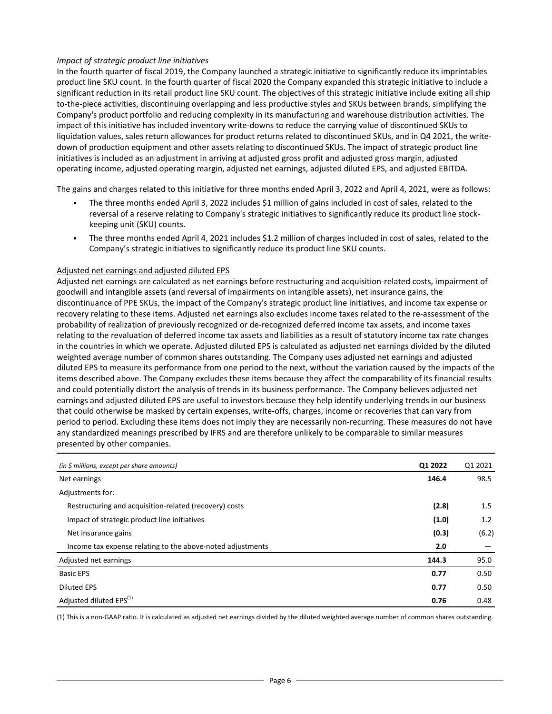## *Impact of strategic product line initiatives*

In the fourth quarter of fiscal 2019, the Company launched a strategic initiative to significantly reduce its imprintables product line SKU count. In the fourth quarter of fiscal 2020 the Company expanded this strategic initiative to include a significant reduction in its retail product line SKU count. The objectives of this strategic initiative include exiting all ship to-the-piece activities, discontinuing overlapping and less productive styles and SKUs between brands, simplifying the Company's product portfolio and reducing complexity in its manufacturing and warehouse distribution activities. The impact of this initiative has included inventory write-downs to reduce the carrying value of discontinued SKUs to liquidation values, sales return allowances for product returns related to discontinued SKUs, and in Q4 2021, the writedown of production equipment and other assets relating to discontinued SKUs. The impact of strategic product line initiatives is included as an adjustment in arriving at adjusted gross profit and adjusted gross margin, adjusted operating income, adjusted operating margin, adjusted net earnings, adjusted diluted EPS, and adjusted EBITDA.

The gains and charges related to this initiative for three months ended April 3, 2022 and April 4, 2021, were as follows:

- The three months ended April 3, 2022 includes \$1 million of gains included in cost of sales, related to the reversal of a reserve relating to Company's strategic initiatives to significantly reduce its product line stockkeeping unit (SKU) counts.
- The three months ended April 4, 2021 includes \$1.2 million of charges included in cost of sales, related to the Company's strategic initiatives to significantly reduce its product line SKU counts.

## Adjusted net earnings and adjusted diluted EPS

Adjusted net earnings are calculated as net earnings before restructuring and acquisition-related costs, impairment of goodwill and intangible assets (and reversal of impairments on intangible assets), net insurance gains, the discontinuance of PPE SKUs, the impact of the Company's strategic product line initiatives, and income tax expense or recovery relating to these items. Adjusted net earnings also excludes income taxes related to the re-assessment of the probability of realization of previously recognized or de-recognized deferred income tax assets, and income taxes relating to the revaluation of deferred income tax assets and liabilities as a result of statutory income tax rate changes in the countries in which we operate. Adjusted diluted EPS is calculated as adjusted net earnings divided by the diluted weighted average number of common shares outstanding. The Company uses adjusted net earnings and adjusted diluted EPS to measure its performance from one period to the next, without the variation caused by the impacts of the items described above. The Company excludes these items because they affect the comparability of its financial results and could potentially distort the analysis of trends in its business performance. The Company believes adjusted net earnings and adjusted diluted EPS are useful to investors because they help identify underlying trends in our business that could otherwise be masked by certain expenses, write-offs, charges, income or recoveries that can vary from period to period. Excluding these items does not imply they are necessarily non-recurring. These measures do not have any standardized meanings prescribed by IFRS and are therefore unlikely to be comparable to similar measures presented by other companies.

| (in \$ millions, except per share amounts)                 | Q1 2022 | Q1 2021          |
|------------------------------------------------------------|---------|------------------|
|                                                            |         |                  |
| Net earnings                                               | 146.4   | 98.5             |
| Adjustments for:                                           |         |                  |
| Restructuring and acquisition-related (recovery) costs     | (2.8)   | 1.5              |
| Impact of strategic product line initiatives               | (1.0)   | 1.2 <sub>2</sub> |
| Net insurance gains                                        | (0.3)   | (6.2)            |
| Income tax expense relating to the above-noted adjustments | 2.0     |                  |
| Adjusted net earnings                                      | 144.3   | 95.0             |
| <b>Basic EPS</b>                                           | 0.77    | 0.50             |
| <b>Diluted EPS</b>                                         | 0.77    | 0.50             |
| Adjusted diluted EPS <sup>(1)</sup>                        | 0.76    | 0.48             |

(1) This is a non-GAAP ratio. It is calculated as adjusted net earnings divided by the diluted weighted average number of common shares outstanding.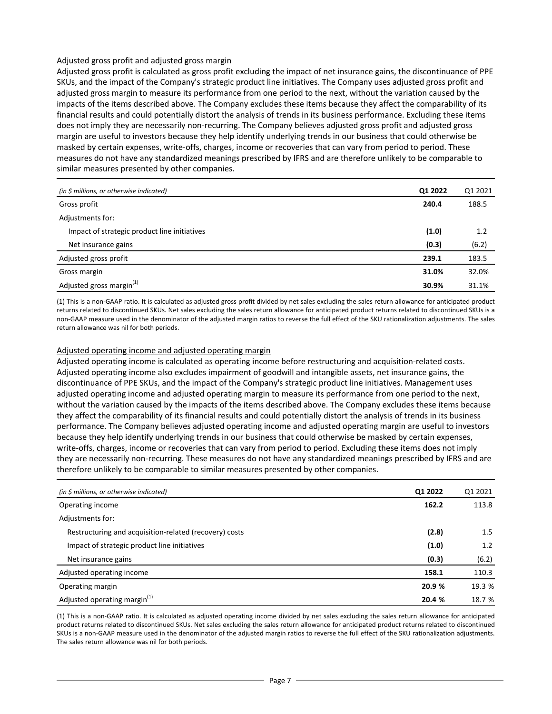#### Adjusted gross profit and adjusted gross margin

Adjusted gross profit is calculated as gross profit excluding the impact of net insurance gains, the discontinuance of PPE SKUs, and the impact of the Company's strategic product line initiatives. The Company uses adjusted gross profit and adjusted gross margin to measure its performance from one period to the next, without the variation caused by the impacts of the items described above. The Company excludes these items because they affect the comparability of its financial results and could potentially distort the analysis of trends in its business performance. Excluding these items does not imply they are necessarily non-recurring. The Company believes adjusted gross profit and adjusted gross margin are useful to investors because they help identify underlying trends in our business that could otherwise be masked by certain expenses, write-offs, charges, income or recoveries that can vary from period to period. These measures do not have any standardized meanings prescribed by IFRS and are therefore unlikely to be comparable to similar measures presented by other companies.

| (in \$ millions, or otherwise indicated)     | Q1 2022 | Q1 2021 |
|----------------------------------------------|---------|---------|
| Gross profit                                 | 240.4   | 188.5   |
| Adjustments for:                             |         |         |
| Impact of strategic product line initiatives | (1.0)   | 1.2     |
| Net insurance gains                          | (0.3)   | (6.2)   |
| Adjusted gross profit                        | 239.1   | 183.5   |
| Gross margin                                 | 31.0%   | 32.0%   |
| Adjusted gross margin <sup>(1)</sup>         | 30.9%   | 31.1%   |

(1) This is a non-GAAP ratio. It is calculated as adjusted gross profit divided by net sales excluding the sales return allowance for anticipated product returns related to discontinued SKUs. Net sales excluding the sales return allowance for anticipated product returns related to discontinued SKUs is a non-GAAP measure used in the denominator of the adjusted margin ratios to reverse the full effect of the SKU rationalization adjustments. The sales return allowance was nil for both periods.

#### Adjusted operating income and adjusted operating margin

Adjusted operating income is calculated as operating income before restructuring and acquisition-related costs. Adjusted operating income also excludes impairment of goodwill and intangible assets, net insurance gains, the discontinuance of PPE SKUs, and the impact of the Company's strategic product line initiatives. Management uses adjusted operating income and adjusted operating margin to measure its performance from one period to the next, without the variation caused by the impacts of the items described above. The Company excludes these items because they affect the comparability of its financial results and could potentially distort the analysis of trends in its business performance. The Company believes adjusted operating income and adjusted operating margin are useful to investors because they help identify underlying trends in our business that could otherwise be masked by certain expenses, write-offs, charges, income or recoveries that can vary from period to period. Excluding these items does not imply they are necessarily non-recurring. These measures do not have any standardized meanings prescribed by IFRS and are therefore unlikely to be comparable to similar measures presented by other companies.

| (in \$ millions, or otherwise indicated)               | Q1 2022 | Q1 2021 |
|--------------------------------------------------------|---------|---------|
| Operating income                                       | 162.2   | 113.8   |
| Adjustments for:                                       |         |         |
| Restructuring and acquisition-related (recovery) costs | (2.8)   | 1.5     |
| Impact of strategic product line initiatives           | (1.0)   | 1.2     |
| Net insurance gains                                    | (0.3)   | (6.2)   |
| Adjusted operating income                              | 158.1   | 110.3   |
| Operating margin                                       | 20.9 %  | 19.3 %  |
| Adjusted operating margin <sup>(1)</sup>               | 20.4 %  | 18.7 %  |

(1) This is a non-GAAP ratio. It is calculated as adjusted operating income divided by net sales excluding the sales return allowance for anticipated product returns related to discontinued SKUs. Net sales excluding the sales return allowance for anticipated product returns related to discontinued SKUs is a non-GAAP measure used in the denominator of the adjusted margin ratios to reverse the full effect of the SKU rationalization adjustments. The sales return allowance was nil for both periods.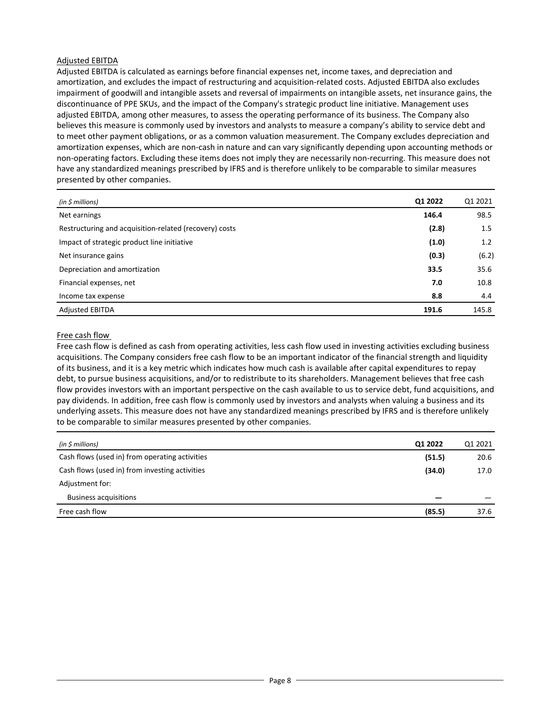### **Adjusted EBITDA**

Adjusted EBITDA is calculated as earnings before financial expenses net, income taxes, and depreciation and amortization, and excludes the impact of restructuring and acquisition-related costs. Adjusted EBITDA also excludes impairment of goodwill and intangible assets and reversal of impairments on intangible assets, net insurance gains, the discontinuance of PPE SKUs, and the impact of the Company's strategic product line initiative. Management uses adjusted EBITDA, among other measures, to assess the operating performance of its business. The Company also believes this measure is commonly used by investors and analysts to measure a company's ability to service debt and to meet other payment obligations, or as a common valuation measurement. The Company excludes depreciation and amortization expenses, which are non-cash in nature and can vary significantly depending upon accounting methods or non-operating factors. Excluding these items does not imply they are necessarily non-recurring. This measure does not have any standardized meanings prescribed by IFRS and is therefore unlikely to be comparable to similar measures presented by other companies.

| (in $\zeta$ millions)                                  | Q1 2022 | Q1 2021 |
|--------------------------------------------------------|---------|---------|
| Net earnings                                           | 146.4   | 98.5    |
| Restructuring and acquisition-related (recovery) costs | (2.8)   | 1.5     |
| Impact of strategic product line initiative            | (1.0)   | 1.2     |
| Net insurance gains                                    | (0.3)   | (6.2)   |
| Depreciation and amortization                          | 33.5    | 35.6    |
| Financial expenses, net                                | 7.0     | 10.8    |
| Income tax expense                                     | 8.8     | 4.4     |
| <b>Adjusted EBITDA</b>                                 | 191.6   | 145.8   |

#### Free cash flow

Free cash flow is defined as cash from operating activities, less cash flow used in investing activities excluding business acquisitions. The Company considers free cash flow to be an important indicator of the financial strength and liquidity of its business, and it is a key metric which indicates how much cash is available after capital expenditures to repay debt, to pursue business acquisitions, and/or to redistribute to its shareholders. Management believes that free cash flow provides investors with an important perspective on the cash available to us to service debt, fund acquisitions, and pay dividends. In addition, free cash flow is commonly used by investors and analysts when valuing a business and its underlying assets. This measure does not have any standardized meanings prescribed by IFRS and is therefore unlikely to be comparable to similar measures presented by other companies.

| (in $\zeta$ millions)                          | Q1 2022 | Q1 2021 |
|------------------------------------------------|---------|---------|
| Cash flows (used in) from operating activities | (51.5)  | 20.6    |
| Cash flows (used in) from investing activities | (34.0)  | 17.0    |
| Adjustment for:                                |         |         |
| <b>Business acquisitions</b>                   |         |         |
| Free cash flow                                 | (85.5)  | 37.6    |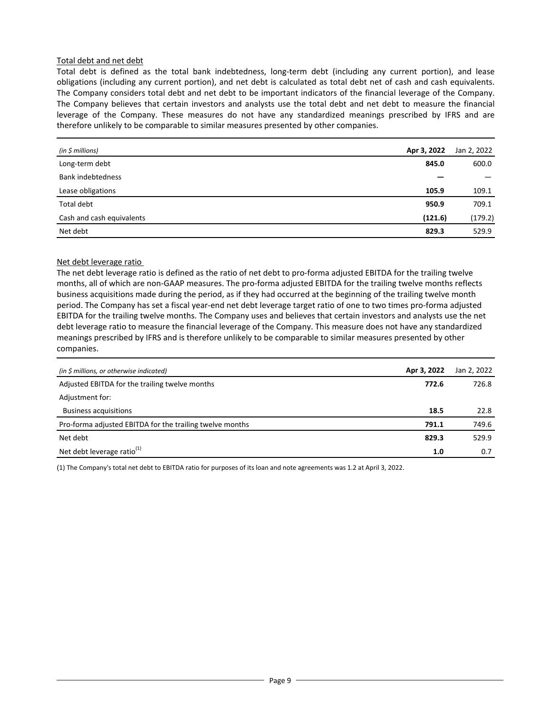### Total debt and net debt

Total debt is defined as the total bank indebtedness, long-term debt (including any current portion), and lease obligations (including any current portion), and net debt is calculated as total debt net of cash and cash equivalents. The Company considers total debt and net debt to be important indicators of the financial leverage of the Company. The Company believes that certain investors and analysts use the total debt and net debt to measure the financial leverage of the Company. These measures do not have any standardized meanings prescribed by IFRS and are therefore unlikely to be comparable to similar measures presented by other companies.

| (in $$$ millions)         | Apr 3, 2022 | Jan 2, 2022 |
|---------------------------|-------------|-------------|
| Long-term debt            | 845.0       | 600.0       |
| <b>Bank indebtedness</b>  |             |             |
| Lease obligations         | 105.9       | 109.1       |
| Total debt                | 950.9       | 709.1       |
| Cash and cash equivalents | (121.6)     | (179.2)     |
| Net debt                  | 829.3       | 529.9       |

#### Net debt leverage ratio

The net debt leverage ratio is defined as the ratio of net debt to pro-forma adjusted EBITDA for the trailing twelve months, all of which are non-GAAP measures. The pro-forma adjusted EBITDA for the trailing twelve months reflects business acquisitions made during the period, as if they had occurred at the beginning of the trailing twelve month period. The Company has set a fiscal year-end net debt leverage target ratio of one to two times pro-forma adjusted EBITDA for the trailing twelve months. The Company uses and believes that certain investors and analysts use the net debt leverage ratio to measure the financial leverage of the Company. This measure does not have any standardized meanings prescribed by IFRS and is therefore unlikely to be comparable to similar measures presented by other companies. 

| (in \$ millions, or otherwise indicated)                 | Apr 3, 2022 | Jan 2, 2022 |
|----------------------------------------------------------|-------------|-------------|
| Adjusted EBITDA for the trailing twelve months           | 772.6       | 726.8       |
| Adjustment for:                                          |             |             |
| <b>Business acquisitions</b>                             | 18.5        | 22.8        |
| Pro-forma adjusted EBITDA for the trailing twelve months | 791.1       | 749.6       |
| Net debt                                                 | 829.3       | 529.9       |
| Net debt leverage ratio <sup>(1)</sup>                   | 1.0         | 0.7         |

(1) The Company's total net debt to EBITDA ratio for purposes of its loan and note agreements was 1.2 at April 3, 2022.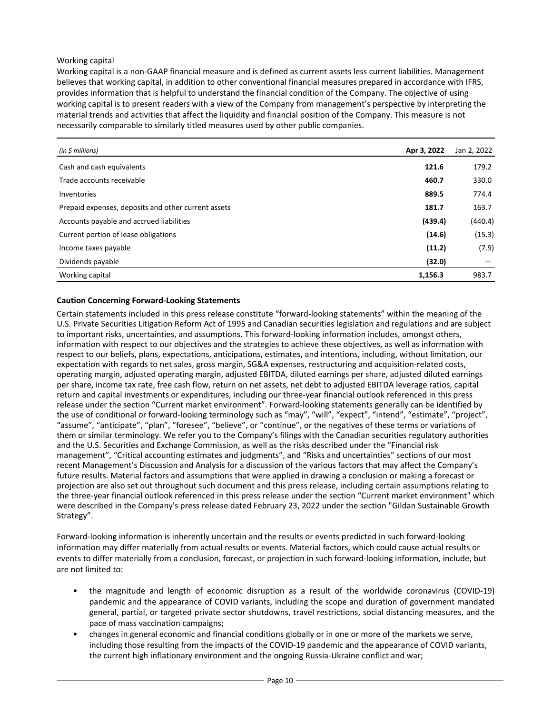### Working capital

Working capital is a non-GAAP financial measure and is defined as current assets less current liabilities. Management believes that working capital, in addition to other conventional financial measures prepared in accordance with IFRS, provides information that is helpful to understand the financial condition of the Company. The objective of using working capital is to present readers with a view of the Company from management's perspective by interpreting the material trends and activities that affect the liquidity and financial position of the Company. This measure is not necessarily comparable to similarly titled measures used by other public companies.

| (in \$ millions)                                    | Apr 3, 2022 | Jan 2, 2022 |
|-----------------------------------------------------|-------------|-------------|
| Cash and cash equivalents                           | 121.6       | 179.2       |
| Trade accounts receivable                           | 460.7       | 330.0       |
| Inventories                                         | 889.5       | 774.4       |
| Prepaid expenses, deposits and other current assets | 181.7       | 163.7       |
| Accounts payable and accrued liabilities            | (439.4)     | (440.4)     |
| Current portion of lease obligations                | (14.6)      | (15.3)      |
| Income taxes payable                                | (11.2)      | (7.9)       |
| Dividends payable                                   | (32.0)      |             |
| Working capital                                     | 1,156.3     | 983.7       |

## **Caution Concerning Forward-Looking Statements**

Certain statements included in this press release constitute "forward-looking statements" within the meaning of the U.S. Private Securities Litigation Reform Act of 1995 and Canadian securities legislation and regulations and are subject to important risks, uncertainties, and assumptions. This forward-looking information includes, amongst others, information with respect to our objectives and the strategies to achieve these objectives, as well as information with respect to our beliefs, plans, expectations, anticipations, estimates, and intentions, including, without limitation, our expectation with regards to net sales, gross margin, SG&A expenses, restructuring and acquisition-related costs, operating margin, adjusted operating margin, adjusted EBITDA, diluted earnings per share, adjusted diluted earnings per share, income tax rate, free cash flow, return on net assets, net debt to adjusted EBITDA leverage ratios, capital return and capital investments or expenditures, including our three-year financial outlook referenced in this press release under the section "Current market environment". Forward-looking statements generally can be identified by the use of conditional or forward-looking terminology such as "may", "will", "expect", "intend", "estimate", "project", "assume", "anticipate", "plan", "foresee", "believe", or "continue", or the negatives of these terms or variations of them or similar terminology. We refer you to the Company's filings with the Canadian securities regulatory authorities and the U.S. Securities and Exchange Commission, as well as the risks described under the "Financial risk management", "Critical accounting estimates and judgments", and "Risks and uncertainties" sections of our most recent Management's Discussion and Analysis for a discussion of the various factors that may affect the Company's future results. Material factors and assumptions that were applied in drawing a conclusion or making a forecast or projection are also set out throughout such document and this press release, including certain assumptions relating to the three-year financial outlook referenced in this press release under the section "Current market environment" which were described in the Company's press release dated February 23, 2022 under the section "Gildan Sustainable Growth Strategy".

Forward-looking information is inherently uncertain and the results or events predicted in such forward-looking information may differ materially from actual results or events. Material factors, which could cause actual results or events to differ materially from a conclusion, forecast, or projection in such forward-looking information, include, but are not limited to:

- the magnitude and length of economic disruption as a result of the worldwide coronavirus (COVID-19) pandemic and the appearance of COVID variants, including the scope and duration of government mandated general, partial, or targeted private sector shutdowns, travel restrictions, social distancing measures, and the pace of mass vaccination campaigns;
- changes in general economic and financial conditions globally or in one or more of the markets we serve, including those resulting from the impacts of the COVID-19 pandemic and the appearance of COVID variants, the current high inflationary environment and the ongoing Russia-Ukraine conflict and war;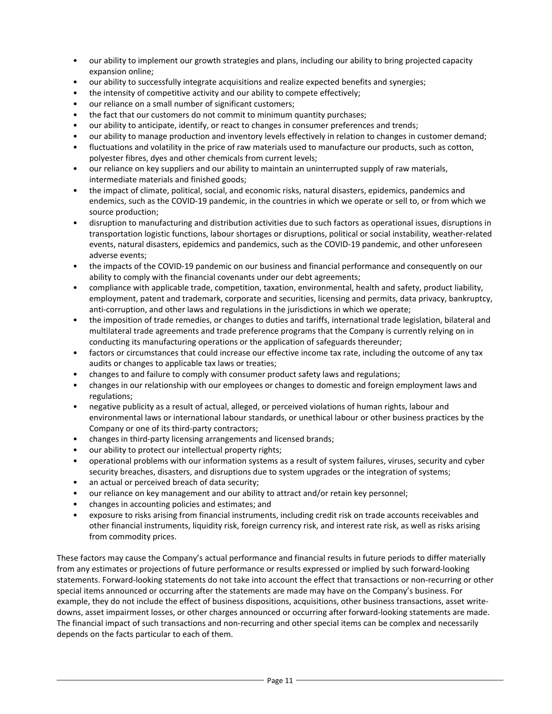- our ability to implement our growth strategies and plans, including our ability to bring projected capacity expansion online:
- our ability to successfully integrate acquisitions and realize expected benefits and synergies;
- the intensity of competitive activity and our ability to compete effectively;
- our reliance on a small number of significant customers;
- the fact that our customers do not commit to minimum quantity purchases;
- our ability to anticipate, identify, or react to changes in consumer preferences and trends;
- our ability to manage production and inventory levels effectively in relation to changes in customer demand;
- fluctuations and volatility in the price of raw materials used to manufacture our products, such as cotton, polyester fibres, dyes and other chemicals from current levels;
- our reliance on key suppliers and our ability to maintain an uninterrupted supply of raw materials, intermediate materials and finished goods;
- the impact of climate, political, social, and economic risks, natural disasters, epidemics, pandemics and endemics, such as the COVID-19 pandemic, in the countries in which we operate or sell to, or from which we source production;
- disruption to manufacturing and distribution activities due to such factors as operational issues, disruptions in transportation logistic functions, labour shortages or disruptions, political or social instability, weather-related events, natural disasters, epidemics and pandemics, such as the COVID-19 pandemic, and other unforeseen adverse events;
- the impacts of the COVID-19 pandemic on our business and financial performance and consequently on our ability to comply with the financial covenants under our debt agreements;
- compliance with applicable trade, competition, taxation, environmental, health and safety, product liability, employment, patent and trademark, corporate and securities, licensing and permits, data privacy, bankruptcy, anti-corruption, and other laws and regulations in the jurisdictions in which we operate;
- the imposition of trade remedies, or changes to duties and tariffs, international trade legislation, bilateral and multilateral trade agreements and trade preference programs that the Company is currently relying on in conducting its manufacturing operations or the application of safeguards thereunder;
- factors or circumstances that could increase our effective income tax rate, including the outcome of any tax audits or changes to applicable tax laws or treaties;
- changes to and failure to comply with consumer product safety laws and regulations;
- changes in our relationship with our employees or changes to domestic and foreign employment laws and regulations;
- negative publicity as a result of actual, alleged, or perceived violations of human rights, labour and environmental laws or international labour standards, or unethical labour or other business practices by the Company or one of its third-party contractors;
- changes in third-party licensing arrangements and licensed brands;
- our ability to protect our intellectual property rights;
- operational problems with our information systems as a result of system failures, viruses, security and cyber security breaches, disasters, and disruptions due to system upgrades or the integration of systems;
- an actual or perceived breach of data security;
- our reliance on key management and our ability to attract and/or retain key personnel;
- changes in accounting policies and estimates; and
- exposure to risks arising from financial instruments, including credit risk on trade accounts receivables and other financial instruments, liquidity risk, foreign currency risk, and interest rate risk, as well as risks arising from commodity prices.

These factors may cause the Company's actual performance and financial results in future periods to differ materially from any estimates or projections of future performance or results expressed or implied by such forward-looking statements. Forward-looking statements do not take into account the effect that transactions or non-recurring or other special items announced or occurring after the statements are made may have on the Company's business. For example, they do not include the effect of business dispositions, acquisitions, other business transactions, asset writedowns, asset impairment losses, or other charges announced or occurring after forward-looking statements are made. The financial impact of such transactions and non-recurring and other special items can be complex and necessarily depends on the facts particular to each of them.